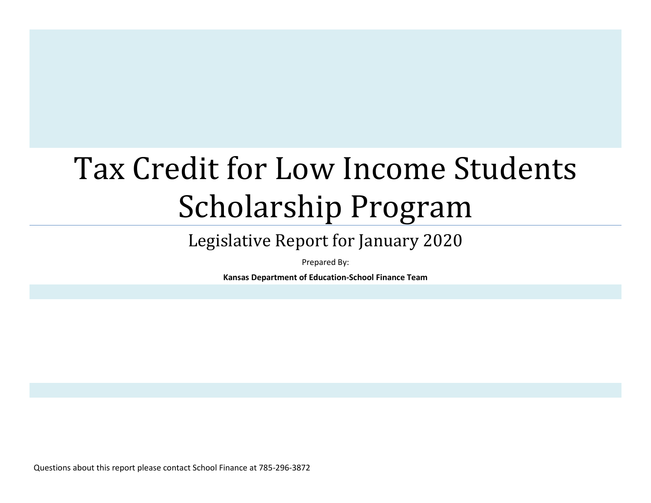# Tax Credit for Low Income Students Scholarship Program

# Legislative Report for January 2020

Prepared By:

**Kansas Department of Education-School Finance Team**

Questions about this report please contact School Finance at 785-296-3872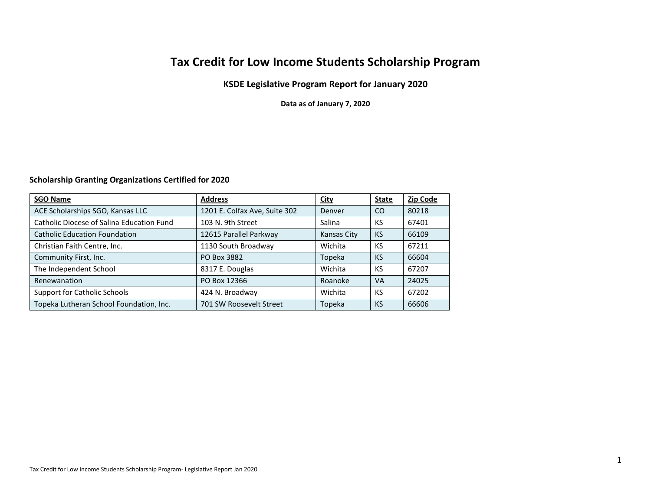# **Tax Credit for Low Income Students Scholarship Program**

### **KSDE Legislative Program Report for January 2020**

**Data as of January 7, 2020**

#### **Scholarship Granting Organizations Certified for 2020**

| <b>SGO Name</b>                           | <b>Address</b>                | <b>City</b> | <b>State</b>  | <b>Zip Code</b> |
|-------------------------------------------|-------------------------------|-------------|---------------|-----------------|
| ACE Scholarships SGO, Kansas LLC          | 1201 E. Colfax Ave, Suite 302 | Denver      | <sub>co</sub> | 80218           |
| Catholic Diocese of Salina Education Fund | 103 N. 9th Street             | Salina      | KS            | 67401           |
| <b>Catholic Education Foundation</b>      | 12615 Parallel Parkway        | Kansas City | <b>KS</b>     | 66109           |
| Christian Faith Centre, Inc.              | 1130 South Broadway           | Wichita     | KS            | 67211           |
| Community First, Inc.                     | PO Box 3882                   | Topeka      | <b>KS</b>     | 66604           |
| The Independent School                    | 8317 E. Douglas               | Wichita     | KS            | 67207           |
| Renewanation                              | PO Box 12366                  | Roanoke     | <b>VA</b>     | 24025           |
| <b>Support for Catholic Schools</b>       | 424 N. Broadway               | Wichita     | KS            | 67202           |
| Topeka Lutheran School Foundation, Inc.   | 701 SW Roosevelt Street       | Topeka      | <b>KS</b>     | 66606           |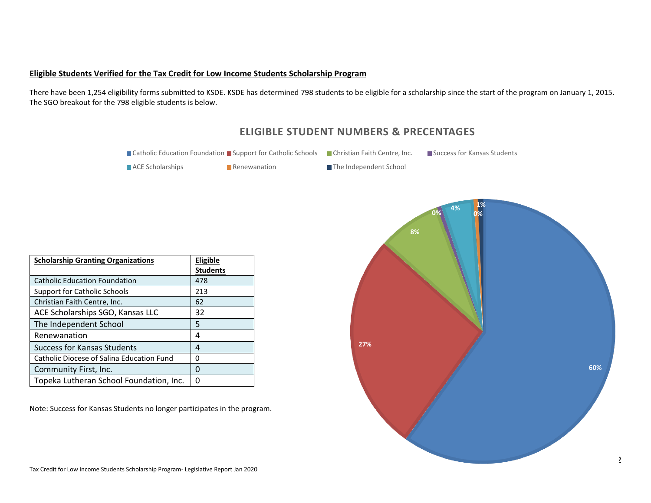#### **Eligible Students Verified for the Tax Credit for Low Income Students Scholarship Program**

There have been 1,254 eligibility forms submitted to KSDE. KSDE has determined 798 students to be eligible for a scholarship since the start of the program on January 1, 2015. The SGO breakout for the 798 eligible students is below.



2

# **ELIGIBLE STUDENT NUMBERS & PRECENTAGES**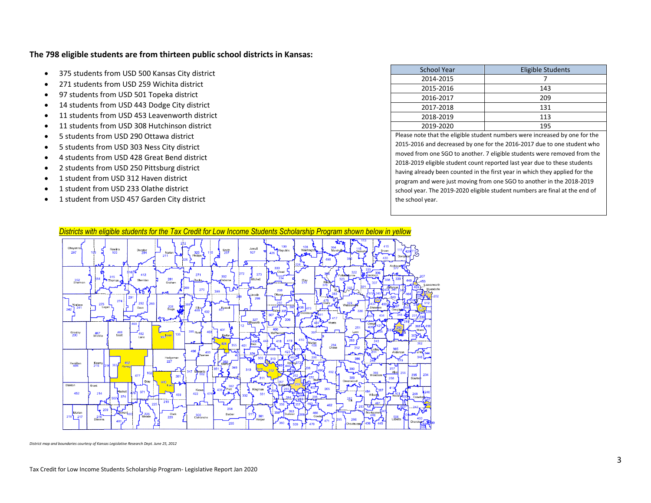#### **The 798 eligible students are from thirteen public school districts in Kansas:**

- 375 students from USD 500 Kansas City district
- 271 students from USD 259 Wichita district
- 97 students from USD 501 Topeka district
- 14 students from USD 443 Dodge City district
- 11 students from USD 453 Leavenworth district
- 11 students from USD 308 Hutchinson district
- 5 students from USD 290 Ottawa district
- 5 students from USD 303 Ness City district
- 4 students from USD 428 Great Bend district
- 2 students from USD 250 Pittsburg district
- 1 student from USD 312 Haven district
- 1 student from USD 233 Olathe district
- 1 student from USD 457 Garden City district

| <b>School Year</b>                                                                                                                                                                                                                     | <b>Eligible Students</b> |
|----------------------------------------------------------------------------------------------------------------------------------------------------------------------------------------------------------------------------------------|--------------------------|
| 2014-2015                                                                                                                                                                                                                              |                          |
| 2015-2016                                                                                                                                                                                                                              | 143                      |
| 2016-2017                                                                                                                                                                                                                              | 209                      |
| 2017-2018                                                                                                                                                                                                                              | 131                      |
| 2018-2019                                                                                                                                                                                                                              | 113                      |
| 2019-2020                                                                                                                                                                                                                              | 195                      |
| $\sim$ . The second contract of the second contract of the second contract of the second contract of the second contract of the second contract of the second contract of the second contract of the second contract of the sec<br>- - | . .<br>$\sim$ $\sim$     |

Please note that the eligible student numbers were increased by one for the 2015-2016 and decreased by one for the 2016-2017 due to one student who moved from one SGO to another. 7 eligible students were removed from the 2018-2019 eligible student count reported last year due to these students having already been counted in the first year in which they applied for the program and were just moving from one SGO to another in the 2018-2019 school year. The 2019-2020 eligible student numbers are final at the end of the school year.



*District map and boundaries courtesy of Kansas Legislative Research Dept. June 25, 2012*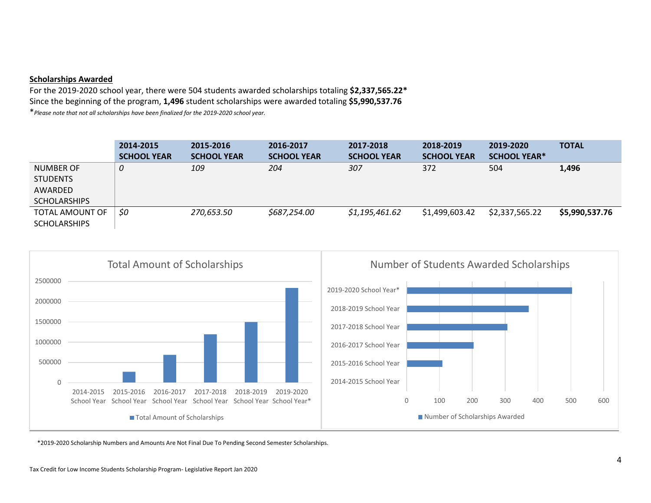#### **Scholarships Awarded**

For the 2019-2020 school year, there were 504 students awarded scholarships totaling **\$2,337,565.22\*** Since the beginning of the program, **1,496** student scholarships were awarded totaling **\$5,990,537.76**

\**Please note that not all scholarships have been finalized for the 2019-2020 school year.*

|                                        | 2014-2015          | 2015-2016          | 2016-2017          | 2017-2018          | 2018-2019          | 2019-2020           | <b>TOTAL</b>   |
|----------------------------------------|--------------------|--------------------|--------------------|--------------------|--------------------|---------------------|----------------|
|                                        | <b>SCHOOL YEAR</b> | <b>SCHOOL YEAR</b> | <b>SCHOOL YEAR</b> | <b>SCHOOL YEAR</b> | <b>SCHOOL YEAR</b> | <b>SCHOOL YEAR*</b> |                |
| NUMBER OF                              | 0                  | 109                | 204                | 307                | 372                | 504                 | 1,496          |
| <b>STUDENTS</b>                        |                    |                    |                    |                    |                    |                     |                |
| AWARDED                                |                    |                    |                    |                    |                    |                     |                |
| <b>SCHOLARSHIPS</b>                    |                    |                    |                    |                    |                    |                     |                |
| TOTAL AMOUNT OF<br><b>SCHOLARSHIPS</b> | \$0                | 270,653.50         | \$687,254.00       | \$1,195,461.62     | \$1,499,603.42     | \$2,337,565.22      | \$5,990,537.76 |



\*2019-2020 Scholarship Numbers and Amounts Are Not Final Due To Pending Second Semester Scholarships.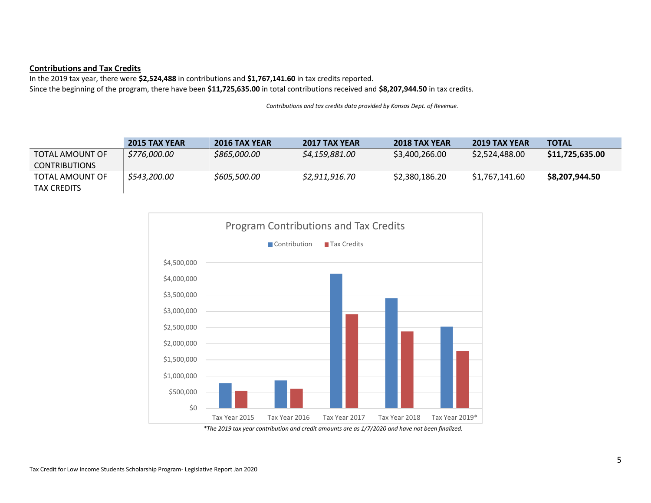#### **Contributions and Tax Credits**

In the 2019 tax year, there were **\$2,524,488** in contributions and **\$1,767,141.60** in tax credits reported. Since the beginning of the program, there have been **\$11,725,635.00** in total contributions received and **\$8,207,944.50** in tax credits.

*Contributions and tax credits data provided by Kansas Dept. of Revenue.* 

|                      | <b>2015 TAX YEAR</b> | <b>2016 TAX YEAR</b> | <b>2017 TAX YEAR</b> | <b>2018 TAX YEAR</b> | <b>2019 TAX YEAR</b> | <b>TOTAL</b>    |
|----------------------|----------------------|----------------------|----------------------|----------------------|----------------------|-----------------|
| TOTAL AMOUNT OF      | \$776,000.00         | \$865,000.00         | \$4,159,881.00       | \$3,400,266.00       | \$2,524,488.00       | \$11,725,635.00 |
| <b>CONTRIBUTIONS</b> |                      |                      |                      |                      |                      |                 |
| TOTAL AMOUNT OF      | \$543,200.00         | \$605,500.00         | \$2.911.916.70       | \$2,380,186.20       | \$1.767.141.60       | \$8,207,944.50  |
| TAX CREDITS          |                      |                      |                      |                      |                      |                 |

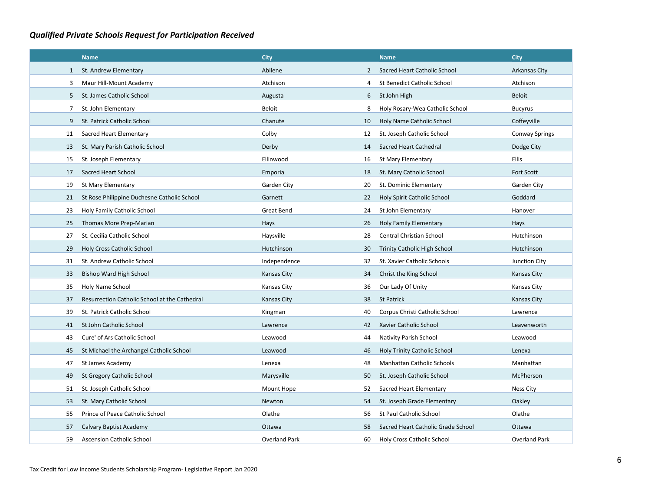# *Qualified Private Schools Request for Participation Received*

|              | <b>Name</b>                                   | <b>City</b>          |                | <b>Name</b>                        | <b>City</b>           |
|--------------|-----------------------------------------------|----------------------|----------------|------------------------------------|-----------------------|
| $\mathbf{1}$ | St. Andrew Elementary                         | Abilene              | $\overline{2}$ | Sacred Heart Catholic School       | Arkansas City         |
| 3            | Maur Hill-Mount Academy                       | Atchison             | 4              | <b>St Benedict Catholic School</b> | Atchison              |
| 5            | St. James Catholic School                     | Augusta              | 6              | St John High                       | Beloit                |
| 7            | St. John Elementary                           | Beloit               | 8              | Holy Rosary-Wea Catholic School    | <b>Bucyrus</b>        |
| 9            | St. Patrick Catholic School                   | Chanute              | 10             | Holy Name Catholic School          | Coffeyville           |
| 11           | Sacred Heart Elementary                       | Colby                | 12             | St. Joseph Catholic School         | <b>Conway Springs</b> |
| 13           | St. Mary Parish Catholic School               | Derby                | 14             | Sacred Heart Cathedral             | Dodge City            |
| 15           | St. Joseph Elementary                         | Ellinwood            | 16             | St Mary Elementary                 | <b>Ellis</b>          |
| 17           | Sacred Heart School                           | Emporia              | 18             | St. Mary Catholic School           | Fort Scott            |
| 19           | <b>St Mary Elementary</b>                     | Garden City          | 20             | St. Dominic Elementary             | Garden City           |
| 21           | St Rose Philippine Duchesne Catholic School   | Garnett              | 22             | Holy Spirit Catholic School        | Goddard               |
| 23           | Holy Family Catholic School                   | Great Bend           | 24             | St John Elementary                 | Hanover               |
| 25           | Thomas More Prep-Marian                       | Hays                 | 26             | Holy Family Elementary             | Hays                  |
| 27           | St. Cecilia Catholic School                   | Haysville            | 28             | Central Christian School           | Hutchinson            |
| 29           | Holy Cross Catholic School                    | Hutchinson           | 30             | Trinity Catholic High School       | Hutchinson            |
| 31           | St. Andrew Catholic School                    | Independence         | 32             | St. Xavier Catholic Schools        | Junction City         |
| 33           | <b>Bishop Ward High School</b>                | <b>Kansas City</b>   | 34             | Christ the King School             | Kansas City           |
| 35           | Holy Name School                              | Kansas City          | 36             | Our Lady Of Unity                  | Kansas City           |
| 37           | Resurrection Catholic School at the Cathedral | Kansas City          | 38             | <b>St Patrick</b>                  | Kansas City           |
| 39           | St. Patrick Catholic School                   | Kingman              | 40             | Corpus Christi Catholic School     | Lawrence              |
| 41           | St John Catholic School                       | Lawrence             | 42             | Xavier Catholic School             | Leavenworth           |
| 43           | Cure' of Ars Catholic School                  | Leawood              | 44             | <b>Nativity Parish School</b>      | Leawood               |
| 45           | St Michael the Archangel Catholic School      | Leawood              | 46             | Holy Trinity Catholic School       | Lenexa                |
| 47           | St James Academy                              | Lenexa               | 48             | <b>Manhattan Catholic Schools</b>  | Manhattan             |
| 49           | St Gregory Catholic School                    | Marysville           | 50             | St. Joseph Catholic School         | McPherson             |
| 51           | St. Joseph Catholic School                    | Mount Hope           | 52             | Sacred Heart Elementary            | <b>Ness City</b>      |
| 53           | St. Mary Catholic School                      | Newton               | 54             | St. Joseph Grade Elementary        | Oakley                |
| 55           | Prince of Peace Catholic School               | Olathe               | 56             | <b>St Paul Catholic School</b>     | Olathe                |
| 57           | Calvary Baptist Academy                       | Ottawa               | 58             | Sacred Heart Catholic Grade School | Ottawa                |
| 59           | <b>Ascension Catholic School</b>              | <b>Overland Park</b> | 60             | <b>Holy Cross Catholic School</b>  | <b>Overland Park</b>  |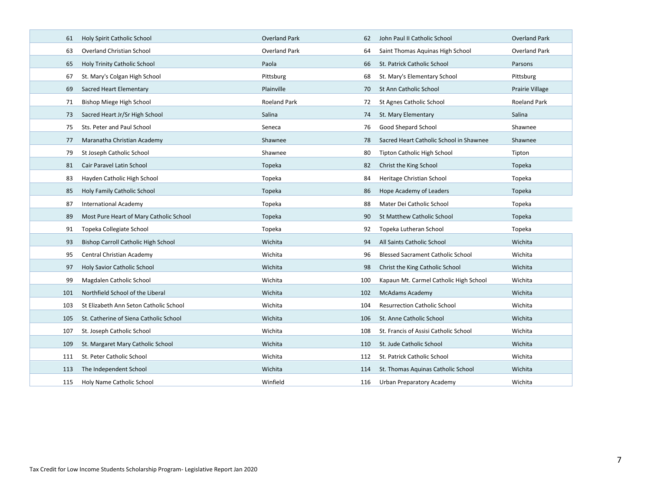| 61  | Holy Spirit Catholic School             | <b>Overland Park</b> | 62  | John Paul II Catholic School             | <b>Overland Park</b> |
|-----|-----------------------------------------|----------------------|-----|------------------------------------------|----------------------|
| 63  | <b>Overland Christian School</b>        | <b>Overland Park</b> | 64  | Saint Thomas Aquinas High School         | Overland Park        |
| 65  | <b>Holy Trinity Catholic School</b>     | Paola                | 66  | St. Patrick Catholic School              | Parsons              |
| 67  | St. Mary's Colgan High School           | Pittsburg            | 68  | St. Mary's Elementary School             | Pittsburg            |
| 69  | Sacred Heart Elementary                 | Plainville           | 70  | St Ann Catholic School                   | Prairie Village      |
| 71  | Bishop Miege High School                | <b>Roeland Park</b>  | 72  | St Agnes Catholic School                 | Roeland Park         |
| 73  | Sacred Heart Jr/Sr High School          | Salina               | 74  | St. Mary Elementary                      | Salina               |
| 75  | Sts. Peter and Paul School              | Seneca               | 76  | Good Shepard School                      | Shawnee              |
| 77  | Maranatha Christian Academy             | Shawnee              | 78  | Sacred Heart Catholic School in Shawnee  | Shawnee              |
| 79  | St Joseph Catholic School               | Shawnee              | 80  | Tipton Catholic High School              | Tipton               |
| 81  | Cair Paravel Latin School               | Topeka               | 82  | Christ the King School                   | Topeka               |
| 83  | Hayden Catholic High School             | Topeka               | 84  | Heritage Christian School                | Topeka               |
| 85  | Holy Family Catholic School             | Topeka               | 86  | Hope Academy of Leaders                  | Topeka               |
| 87  | <b>International Academy</b>            | Topeka               | 88  | Mater Dei Catholic School                | Topeka               |
| 89  | Most Pure Heart of Mary Catholic School | Topeka               | 90  | <b>St Matthew Catholic School</b>        | Topeka               |
| 91  | Topeka Collegiate School                | Topeka               | 92  | Topeka Lutheran School                   | Topeka               |
| 93  | Bishop Carroll Catholic High School     | Wichita              | 94  | All Saints Catholic School               | Wichita              |
| 95  | Central Christian Academy               | Wichita              | 96  | <b>Blessed Sacrament Catholic School</b> | Wichita              |
| 97  |                                         | Wichita              |     |                                          |                      |
|     | Holy Savior Catholic School             |                      | 98  | Christ the King Catholic School          | Wichita              |
| 99  | Magdalen Catholic School                | Wichita              | 100 | Kapaun Mt. Carmel Catholic High School   | Wichita              |
| 101 | Northfield School of the Liberal        | Wichita              | 102 | McAdams Academy                          | Wichita              |
| 103 | St Elizabeth Ann Seton Catholic School  | Wichita              | 104 | <b>Resurrection Catholic School</b>      | Wichita              |
| 105 | St. Catherine of Siena Catholic School  | Wichita              | 106 | St. Anne Catholic School                 | Wichita              |
| 107 | St. Joseph Catholic School              | Wichita              | 108 | St. Francis of Assisi Catholic School    | Wichita              |
| 109 | St. Margaret Mary Catholic School       | Wichita              | 110 | St. Jude Catholic School                 | Wichita              |
| 111 | St. Peter Catholic School               | Wichita              | 112 | St. Patrick Catholic School              | Wichita              |
| 113 | The Independent School                  | Wichita              | 114 | St. Thomas Aquinas Catholic School       | Wichita              |
| 115 | Holy Name Catholic School               | Winfield             | 116 | Urban Preparatory Academy                | Wichita              |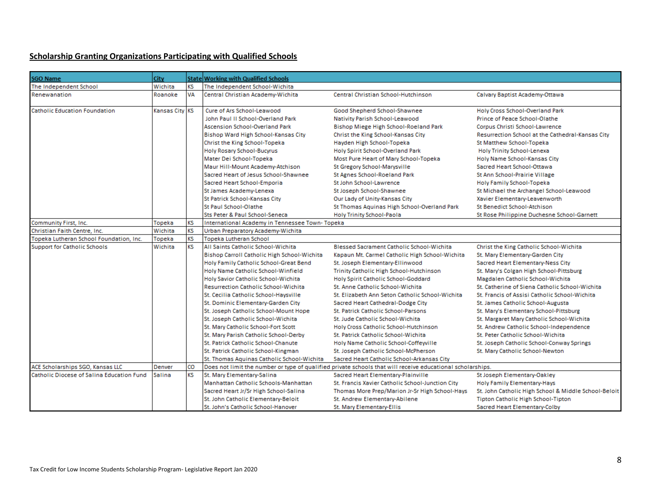# **Scholarship Granting Organizations Participating with Qualified Schools**

| <b>SGO Name</b>                           | <b>City</b>    |           | State Working with Qualified Schools                                                   |                                                                                                            |                                                      |
|-------------------------------------------|----------------|-----------|----------------------------------------------------------------------------------------|------------------------------------------------------------------------------------------------------------|------------------------------------------------------|
| The Independent School                    | Wichita        | <b>KS</b> | The Independent School-Wichita                                                         |                                                                                                            |                                                      |
| Renewanation                              | Roanoke        | VA        | Central Christian Academy-Wichita                                                      | Central Christian School-Hutchinson                                                                        | Calvary Baptist Academy-Ottawa                       |
| <b>Catholic Education Foundation</b>      | Kansas City KS |           | Cure of Ars School-Leawood<br>Good Shepherd School-Shawnee                             |                                                                                                            | Holy Cross School-Overland Park                      |
|                                           |                |           | John Paul II School-Overland Park                                                      | Nativity Parish School-Leawood                                                                             | Prince of Peace School-Olathe                        |
|                                           |                |           | <b>Ascension School-Overland Park</b>                                                  | <b>Bishop Miege High School-Roeland Park</b>                                                               | Corpus Christi School-Lawrence                       |
|                                           |                |           | Bishop Ward High School-Kansas City                                                    | Christ the King School-Kansas City                                                                         | Resurrection School at the Cathedral-Kansas City     |
|                                           |                |           | Christ the King School-Topeka<br>Hayden High School-Topeka<br>St Matthew School-Topeka |                                                                                                            |                                                      |
|                                           |                |           | Holy Rosary School-Bucyrus                                                             | Holy Spirit School-Overland Park                                                                           | Holy Trinity School-Lenexa                           |
|                                           |                |           | Mater Dei School-Topeka                                                                | Most Pure Heart of Mary School-Topeka                                                                      | Holy Name School-Kansas City                         |
|                                           |                |           | Maur Hill-Mount Academy-Atchison                                                       | St Gregory School-Marysville                                                                               | Sacred Heart School-Ottawa                           |
|                                           |                |           | Sacred Heart of Jesus School-Shawnee                                                   | St Agnes School-Roeland Park                                                                               | St Ann School-Prairie Village                        |
|                                           |                |           | Sacred Heart School-Emporia                                                            | St John School-Lawrence                                                                                    | Holy Family School-Topeka                            |
|                                           |                |           | St James Academy-Lenexa                                                                | St Joseph School-Shawnee                                                                                   | St Michael the Archangel School-Leawood              |
|                                           |                |           | St Patrick School-Kansas City                                                          | Our Lady of Unity-Kansas City                                                                              | Xavier Elementary-Leavenworth                        |
|                                           |                |           | St Paul School-Olathe                                                                  | St Thomas Aquinas High School-Overland Park                                                                | St Benedict School-Atchison                          |
|                                           |                |           | Sts Peter & Paul School-Seneca                                                         | Holy Trinity School-Paola                                                                                  | St Rose Philippine Duchesne School-Garnett           |
| Community First, Inc.                     | Topeka         | KS        | International Academy in Tennessee Town-Topeka                                         |                                                                                                            |                                                      |
| Christian Faith Centre, Inc.              | Wichita        | <b>KS</b> | Urban Preparatory Academy-Wichita                                                      |                                                                                                            |                                                      |
| Topeka Lutheran School Foundation, Inc.   | Topeka         | <b>KS</b> | Topeka Lutheran School                                                                 |                                                                                                            |                                                      |
| <b>Support for Catholic Schools</b>       | Wichita        | <b>KS</b> | All Saints Catholic School-Wichita                                                     | <b>Blessed Sacrament Catholic School-Wichita</b>                                                           | Christ the King Catholic School-Wichita              |
|                                           |                |           | Bishop Carroll Catholic High School-Wichita                                            | Kapaun Mt. Carmel Catholic High School-Wichita                                                             | St. Mary Elementary-Garden City                      |
|                                           |                |           | Holy Family Catholic School-Great Bend                                                 | St. Joseph Elementary-Ellinwood                                                                            | Sacred Heart Elementary-Ness City                    |
|                                           |                |           | Holy Name Catholic School-Winfield                                                     | Trinity Catholic High School-Hutchinson                                                                    | St. Mary's Colgan High School-Pittsburg              |
|                                           |                |           | Holy Savior Catholic School-Wichita<br>Holy Spirit Catholic School-Goddard             |                                                                                                            | Magdalen Catholic School-Wichita                     |
|                                           |                |           | <b>Resurrection Catholic School-Wichita</b>                                            | St. Anne Catholic School-Wichita<br>St. Catherine of Siena Catholic School-Wichita                         |                                                      |
|                                           |                |           | St. Cecilia Catholic School-Haysville                                                  | St. Elizabeth Ann Seton Catholic School-Wichita                                                            | St. Francis of Assisi Catholic School-Wichita        |
|                                           |                |           | St. Dominic Elementary-Garden City                                                     | Sacred Heart Cathedral-Dodge City                                                                          | St. James Catholic School-Augusta                    |
|                                           |                |           | St. Joseph Catholic School-Mount Hope                                                  | St. Patrick Catholic School-Parsons                                                                        | St. Mary's Elementary School-Pittsburg               |
|                                           |                |           | lSt. Joseph Catholic School-Wichita                                                    | St. Jude Catholic School-Wichita                                                                           | St. Margaret Mary Catholic School-Wichita            |
|                                           |                |           | St. Mary Catholic School-Fort Scott                                                    | Holy Cross Catholic School-Hutchinson                                                                      | St. Andrew Catholic School-Independence              |
|                                           |                |           | St. Mary Parish Catholic School-Derby                                                  | St. Patrick Catholic School-Wichita                                                                        | St. Peter Catholic School-Wichita                    |
|                                           |                |           | St. Patrick Catholic School-Chanute                                                    | Holy Name Catholic School-Coffeyville                                                                      | St. Joseph Catholic School-Conway Springs            |
|                                           |                |           | St. Patrick Catholic School-Kingman                                                    | St. Joseph Catholic School-McPherson                                                                       | St. Mary Catholic School-Newton                      |
|                                           |                |           | St. Thomas Aguinas Catholic School-Wichita                                             | Sacred Heart Catholic School-Arkansas City                                                                 |                                                      |
| ACE Scholarships SGO, Kansas LLC          | Denver         | lco       |                                                                                        | Does not limit the number or type of qualified private schools that will receive educational scholarships. |                                                      |
| Catholic Diocese of Salina Education Fund | Salina         | <b>KS</b> | St. Mary Elementary-Salina                                                             | Sacred Heart Elementary-Plainville                                                                         | St Joseph Elementary-Oakley                          |
|                                           |                |           | Manhattan Catholic Schools-Manhattan                                                   | St. Francis Xavier Catholic School-Junction City                                                           | Holy Family Elementary-Hays                          |
|                                           |                |           | Sacred Heart Jr/Sr High School-Salina                                                  | Thomas More Prep/Marion Jr-Sr High School-Hays                                                             | St. John Catholic High School & Middle School-Beloit |
|                                           |                |           | St. John Catholic Elementary-Beloit                                                    | St. Andrew Elementary-Abilene                                                                              | Tipton Catholic High School-Tipton                   |
|                                           |                |           | St. John's Catholic School-Hanover                                                     | St. Mary Elementary-Ellis                                                                                  | Sacred Heart Elementary-Colby                        |